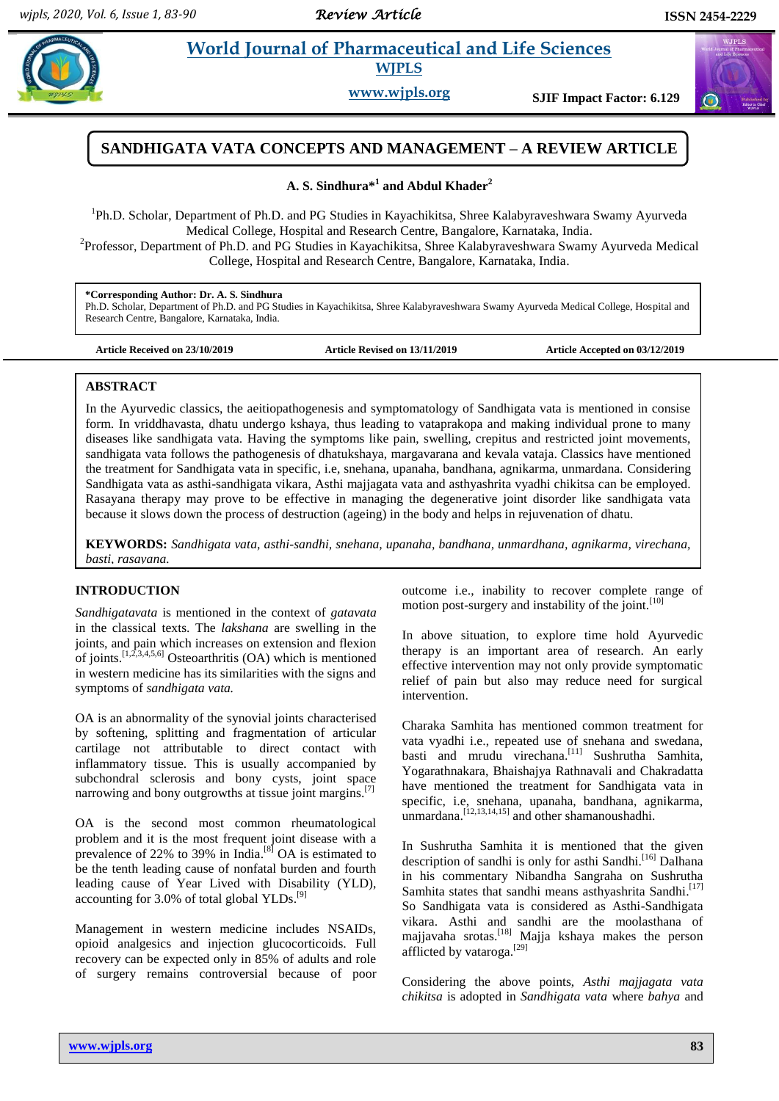# **Paramaceutical and Life Sciences WJPLS**

**www.wjpls.org SJIF Impact Factor: 6.129**



# **SANDHIGATA VATA CONCEPTS AND MANAGEMENT – A REVIEW ARTICLE**

**A. S. Sindhura\* 1 and Abdul Khader<sup>2</sup>**

<sup>1</sup>Ph.D. Scholar, Department of Ph.D. and PG Studies in Kayachikitsa, Shree Kalabyraveshwara Swamy Ayurveda Medical College, Hospital and Research Centre, Bangalore, Karnataka, India.

<sup>2</sup>Professor, Department of Ph.D. and PG Studies in Kayachikitsa, Shree Kalabyraveshwara Swamy Ayurveda Medical College, Hospital and Research Centre, Bangalore, Karnataka, India.

**\*Corresponding Author: Dr. A. S. Sindhura** Ph.D. Scholar, Department of Ph.D. and PG Studies in Kayachikitsa, Shree Kalabyraveshwara Swamy Ayurveda Medical College, Hospital and Research Centre, Bangalore, Karnataka, India.

**Article Received on 23/10/2019 Article Revised on 13/11/2019 Article Accepted on 03/12/2019**

#### **ABSTRACT**

In the Ayurvedic classics, the aeitiopathogenesis and symptomatology of Sandhigata vata is mentioned in consise form. In vriddhavasta, dhatu undergo kshaya, thus leading to vataprakopa and making individual prone to many diseases like sandhigata vata. Having the symptoms like pain, swelling, crepitus and restricted joint movements, sandhigata vata follows the pathogenesis of dhatukshaya, margavarana and kevala vataja. Classics have mentioned the treatment for Sandhigata vata in specific, i.e, snehana, upanaha, bandhana, agnikarma, unmardana. Considering Sandhigata vata as asthi-sandhigata vikara, Asthi majjagata vata and asthyashrita vyadhi chikitsa can be employed. Rasayana therapy may prove to be effective in managing the degenerative joint disorder like sandhigata vata because it slows down the process of destruction (ageing) in the body and helps in rejuvenation of dhatu.

**KEYWORDS:** *Sandhigata vata, asthi-sandhi, snehana, upanaha, bandhana, unmardhana, agnikarma, virechana, basti, rasayana.* 

## **INTRODUCTION**

*Sandhigatavata* is mentioned in the context of *gatavata* in the classical texts. The *lakshana* are swelling in the joints, and pain which increases on extension and flexion of joints.  $[1,2,3,4,5,6]$  Osteoarthritis (OA) which is mentioned in western medicine has its similarities with the signs and symptoms of *sandhigata vata.*

OA is an abnormality of the synovial joints characterised by softening, splitting and fragmentation of articular cartilage not attributable to direct contact with inflammatory tissue. This is usually accompanied by subchondral sclerosis and bony cysts, joint space narrowing and bony outgrowths at tissue joint margins.<sup>[7]</sup>

OA is the second most common rheumatological problem and it is the most frequent joint disease with a prevalence of 22% to 39% in India. $^{[8]}$  OA is estimated to be the tenth leading cause of nonfatal burden and fourth leading cause of Year Lived with Disability (YLD), accounting for 3.0% of total global YLDs.<sup>[9]</sup>

Management in western medicine includes NSAIDs, opioid analgesics and injection glucocorticoids. Full recovery can be expected only in 85% of adults and role of surgery remains controversial because of poor outcome i.e., inability to recover complete range of motion post-surgery and instability of the joint.<sup>[10]</sup>

In above situation, to explore time hold Ayurvedic therapy is an important area of research. An early effective intervention may not only provide symptomatic relief of pain but also may reduce need for surgical intervention.

Charaka Samhita has mentioned common treatment for vata vyadhi i.e., repeated use of snehana and swedana, basti and mrudu virechana.<sup>[11]</sup> Sushrutha Samhita, Yogarathnakara, Bhaishajya Rathnavali and Chakradatta have mentioned the treatment for Sandhigata vata in specific, i.e, snehana, upanaha, bandhana, agnikarma, unmardana. [12,13,14,15] and other shamanoushadhi.

In Sushrutha Samhita it is mentioned that the given description of sandhi is only for asthi Sandhi.<sup>[16]</sup> Dalhana in his commentary Nibandha Sangraha on Sushrutha Samhita states that sandhi means asthyashrita Sandhi.<sup>[17]</sup> So Sandhigata vata is considered as Asthi-Sandhigata vikara. Asthi and sandhi are the moolasthana of majjavaha srotas. [18] Majja kshaya makes the person afflicted by vataroga.<sup>[29]</sup>

Considering the above points, *Asthi majjagata vata chikitsa* is adopted in *Sandhigata vata* where *bahya* and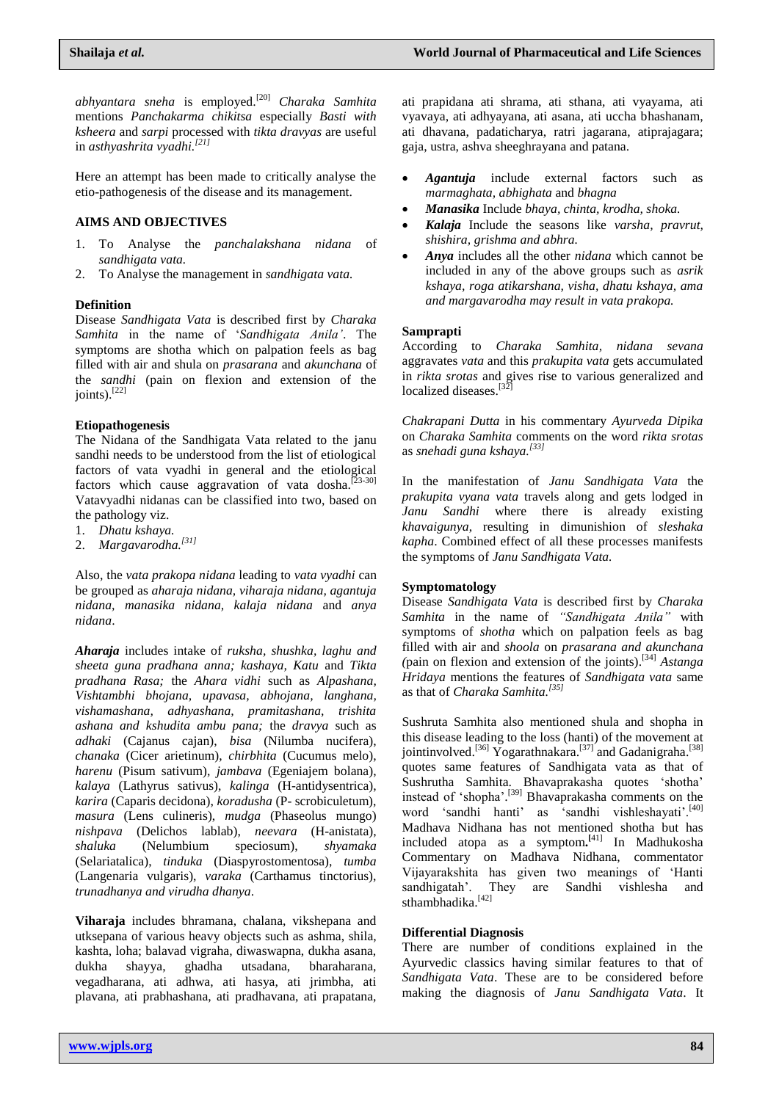*abhyantara sneha* is employed. [20] *Charaka Samhita* mentions *Panchakarma chikitsa* especially *Basti with ksheera* and *sarpi* processed with *tikta dravyas* are useful in *asthyashrita vyadhi. [21]*

Here an attempt has been made to critically analyse the etio-pathogenesis of the disease and its management.

## **AIMS AND OBJECTIVES**

- 1. To Analyse the *panchalakshana nidana* of *sandhigata vata.*
- 2. To Analyse the management in *sandhigata vata.*

## **Definition**

Disease *Sandhigata Vata* is described first by *Charaka Samhita* in the name of '*Sandhigata Anila"*. The symptoms are shotha which on palpation feels as bag filled with air and shula on *prasarana* and *akunchana* of the *sandhi* (pain on flexion and extension of the joints).<sup>[22]</sup>

## **Etiopathogenesis**

The Nidana of the Sandhigata Vata related to the janu sandhi needs to be understood from the list of etiological factors of vata vyadhi in general and the etiological factors which cause aggravation of vata dosha.<sup>[23-30]</sup> Vatavyadhi nidanas can be classified into two, based on the pathology viz.

- 1. *Dhatu kshaya.*
- 2. *Margavarodha.[31]*

Also, the *vata prakopa nidana* leading to *vata vyadhi* can be grouped as *aharaja nidana, viharaja nidana, agantuja nidana, manasika nidana, kalaja nidana* and *anya nidana*.

*Aharaja* includes intake of *ruksha, shushka, laghu and sheeta guna pradhana anna; kashaya, Katu* and *Tikta pradhana Rasa;* the *Ahara vidhi* such as *Alpashana, Vishtambhi bhojana, upavasa, abhojana, langhana, vishamashana, adhyashana, pramitashana, trishita ashana and kshudita ambu pana;* the *dravya* such as *adhaki* (Cajanus cajan), *bisa* (Nilumba nucifera), *chanaka* (Cicer arietinum), *chirbhita* (Cucumus melo), *harenu* (Pisum sativum), *jambava* (Egeniajem bolana), *kalaya* (Lathyrus sativus), *kalinga* (H-antidysentrica), *karira* (Caparis decidona), *koradusha* (P- scrobiculetum), *masura* (Lens culineris), *mudga* (Phaseolus mungo) *nishpava* (Delichos lablab), *neevara* (H-anistata), *shaluka* (Nelumbium speciosum), *shyamaka*  (Selariatalica), *tinduka* (Diaspyrostomentosa), *tumba* (Langenaria vulgaris), *varaka* (Carthamus tinctorius), *trunadhanya and virudha dhanya*.

**Viharaja** includes bhramana, chalana, vikshepana and utksepana of various heavy objects such as ashma, shila, kashta, loha; balavad vigraha, diwaswapna, dukha asana, dukha shayya, ghadha utsadana, bharaharana, vegadharana, ati adhwa, ati hasya, ati jrimbha, ati plavana, ati prabhashana, ati pradhavana, ati prapatana,

ati prapidana ati shrama, ati sthana, ati vyayama, ati vyavaya, ati adhyayana, ati asana, ati uccha bhashanam, ati dhavana, padaticharya, ratri jagarana, atiprajagara; gaja, ustra, ashva sheeghrayana and patana.

- *Agantuja* include external factors such as *marmaghata, abhighata* and *bhagna*
- *Manasika* Include *bhaya, chinta, krodha, shoka.*
- *Kalaja* Include the seasons like *varsha, pravrut, shishira, grishma and abhra.*
- *Anya* includes all the other *nidana* which cannot be included in any of the above groups such as *asrik kshaya, roga atikarshana, visha, dhatu kshaya, ama and margavarodha may result in vata prakopa.*

## **Samprapti**

According to *Charaka Samhita, nidana sevana* aggravates *vata* and this *prakupita vata* gets accumulated in *rikta srotas* and gives rise to various generalized and localized diseases.<sup>[32]</sup>

*Chakrapani Dutta* in his commentary *Ayurveda Dipika* on *Charaka Samhita* comments on the word *rikta srotas* as *snehadi guna kshaya. [33]*

In the manifestation of *Janu Sandhigata Vata* the *prakupita vyana vata* travels along and gets lodged in *Janu Sandhi* where there is already existing *khavaigunya*, resulting in dimunishion of *sleshaka kapha*. Combined effect of all these processes manifests the symptoms of *Janu Sandhigata Vata.*

## **Symptomatology**

Disease *Sandhigata Vata* is described first by *Charaka Samhita* in the name of *"Sandhigata Anila"* with symptoms of *shotha* which on palpation feels as bag filled with air and *shoola* on *prasarana and akunchana (*pain on flexion and extension of the joints). [34] *Astanga Hridaya* mentions the features of *Sandhigata vata* same as that of *Charaka Samhita. [35]*

Sushruta Samhita also mentioned shula and shopha in this disease leading to the loss (hanti) of the movement at jointinvolved.<sup>[36]</sup> Yogarathnakara.<sup>[37]</sup> and Gadanigraha.<sup>[38]</sup> quotes same features of Sandhigata vata as that of Sushrutha Samhita. Bhavaprakasha quotes 'shotha' instead of 'shopha'. [39] Bhavaprakasha comments on the word 'sandhi hanti' as 'sandhi vishleshayati'.[40] Madhava Nidhana has not mentioned shotha but has included atopa as a symptom**. [**41] In Madhukosha Commentary on Madhava Nidhana, commentator Vijayarakshita has given two meanings of 'Hanti sandhigatah'. They are Sandhi vishlesha and sthambhadika.[42]

## **Differential Diagnosis**

There are number of conditions explained in the Ayurvedic classics having similar features to that of *Sandhigata Vata*. These are to be considered before making the diagnosis of *Janu Sandhigata Vata*. It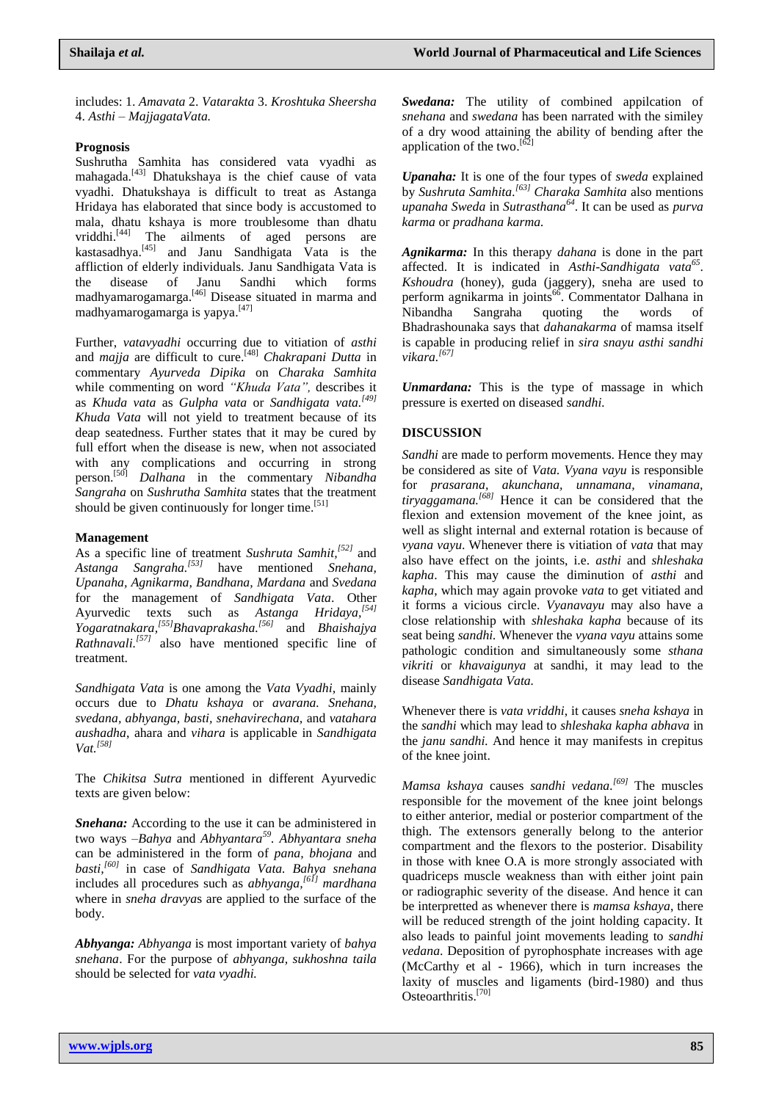includes: 1. *Amavata* 2. *Vatarakta* 3. *Kroshtuka Sheersha* 4. *Asthi – MajjagataVata.*

#### **Prognosis**

Sushrutha Samhita has considered vata vyadhi as mahagada. [43] Dhatukshaya is the chief cause of vata vyadhi. Dhatukshaya is difficult to treat as Astanga Hridaya has elaborated that since body is accustomed to mala, dhatu kshaya is more troublesome than dhatu vriddhi. [44] The ailments of aged persons are kastasadhya.<sup>[45]</sup> and Janu Sandhigata Vata is the affliction of elderly individuals. Janu Sandhigata Vata is the disease of Janu Sandhi which forms madhyamarogamarga.<sup>[46]</sup> Disease situated in marma and madhyamarogamarga is yapya. [47]

Further, *vatavyadhi* occurring due to vitiation of *asthi* and *majja* are difficult to cure. [48] *Chakrapani Dutta* in commentary *Ayurveda Dipika* on *Charaka Samhita* while commenting on word *"Khuda Vata",* describes it as *Khuda vata* as *Gulpha vata* or *Sandhigata vata. [49] Khuda Vata* will not yield to treatment because of its deap seatedness. Further states that it may be cured by full effort when the disease is new, when not associated with any complications and occurring in strong person. [50] *Dalhana* in the commentary *Nibandha Sangraha* on *Sushrutha Samhita* states that the treatment should be given continuously for longer time.<sup>[51]</sup>

#### **Management**

As a specific line of treatment *Sushruta Samhit, [52]* and *Astanga Sangraha. [53]* have mentioned *Snehana, Upanaha, Agnikarma, Bandhana, Mardana* and *Svedana* for the management of *Sandhigata Vata*. Other Ayurvedic texts such as *Astanga Hridaya, [54] Yogaratnakara, [55]Bhavaprakasha. [56]* and *Bhaishajya Rathnavali. [57]* also have mentioned specific line of treatment.

*Sandhigata Vata* is one among the *Vata Vyadhi,* mainly occurs due to *Dhatu kshaya* or *avarana. Snehana, svedana, abhyanga, basti, snehavirechana,* and *vatahara aushadha*, ahara and *vihara* is applicable in *Sandhigata Vat. [58]*

The *Chikitsa Sutra* mentioned in different Ayurvedic texts are given below:

*Snehana:* According to the use it can be administered in two ways –*Bahya* and *Abhyantara<sup>59</sup> . Abhyantara sneha* can be administered in the form of *pana, bhojana* and *basti, [60]* in case of *Sandhigata Vata. Bahya snehana* includes all procedures such as *abhyanga, [61] mardhana*  where in *sneha dravya*s are applied to the surface of the body.

*Abhyanga: Abhyanga* is most important variety of *bahya snehana*. For the purpose of *abhyanga, sukhoshna taila* should be selected for *vata vyadhi.*

*Swedana:* The utility of combined appilcation of *snehana* and *swedana* has been narrated with the similey of a dry wood attaining the ability of bending after the application of the two.<sup>[62]</sup>

*Upanaha:* It is one of the four types of *sweda* explained by *Sushruta Samhita. [63] Charaka Samhita* also mentions *upanaha Sweda* in *Sutrasthana<sup>64</sup>*. It can be used as *purva karma* or *pradhana karma.*

*Agnikarma:* In this therapy *dahana* is done in the part affected. It is indicated in *Asthi-Sandhigata vata<sup>65</sup>* . *Kshoudra* (honey), guda (jaggery), sneha are used to perform agnikarma in joints<sup>66</sup>. Commentator Dalhana in Nibandha Sangraha quoting the words of Bhadrashounaka says that *dahanakarma* of mamsa itself is capable in producing relief in *sira snayu asthi sandhi vikara. [67]*

*Unmardana:* This is the type of massage in which pressure is exerted on diseased *sandhi.*

## **DISCUSSION**

*Sandhi* are made to perform movements. Hence they may be considered as site of *Vata. Vyana vayu* is responsible for *prasarana, akunchana, unnamana, vinamana, tiryaggamana.[68]* Hence it can be considered that the flexion and extension movement of the knee joint, as well as slight internal and external rotation is because of *vyana vayu*. Whenever there is vitiation of *vata* that may also have effect on the joints, i.e. *asthi* and *shleshaka kapha*. This may cause the diminution of *asthi* and *kapha*, which may again provoke *vata* to get vitiated and it forms a vicious circle. *Vyanavayu* may also have a close relationship with *shleshaka kapha* because of its seat being *sandhi.* Whenever the *vyana vayu* attains some pathologic condition and simultaneously some *sthana vikriti* or *khavaigunya* at sandhi, it may lead to the disease *Sandhigata Vata.* 

Whenever there is *vata vriddhi*, it causes *sneha kshaya* in the *sandhi* which may lead to *shleshaka kapha abhava* in the *janu sandhi.* And hence it may manifests in crepitus of the knee joint.

*Mamsa kshaya* causes *sandhi vedana. [69]* The muscles responsible for the movement of the knee joint belongs to either anterior, medial or posterior compartment of the thigh. The extensors generally belong to the anterior compartment and the flexors to the posterior. Disability in those with knee O.A is more strongly associated with quadriceps muscle weakness than with either joint pain or radiographic severity of the disease. And hence it can be interpretted as whenever there is *mamsa kshaya*, there will be reduced strength of the joint holding capacity. It also leads to painful joint movements leading to *sandhi vedana*. Deposition of pyrophosphate increases with age (McCarthy et al - 1966), which in turn increases the laxity of muscles and ligaments (bird-1980) and thus Osteoarthritis. [70]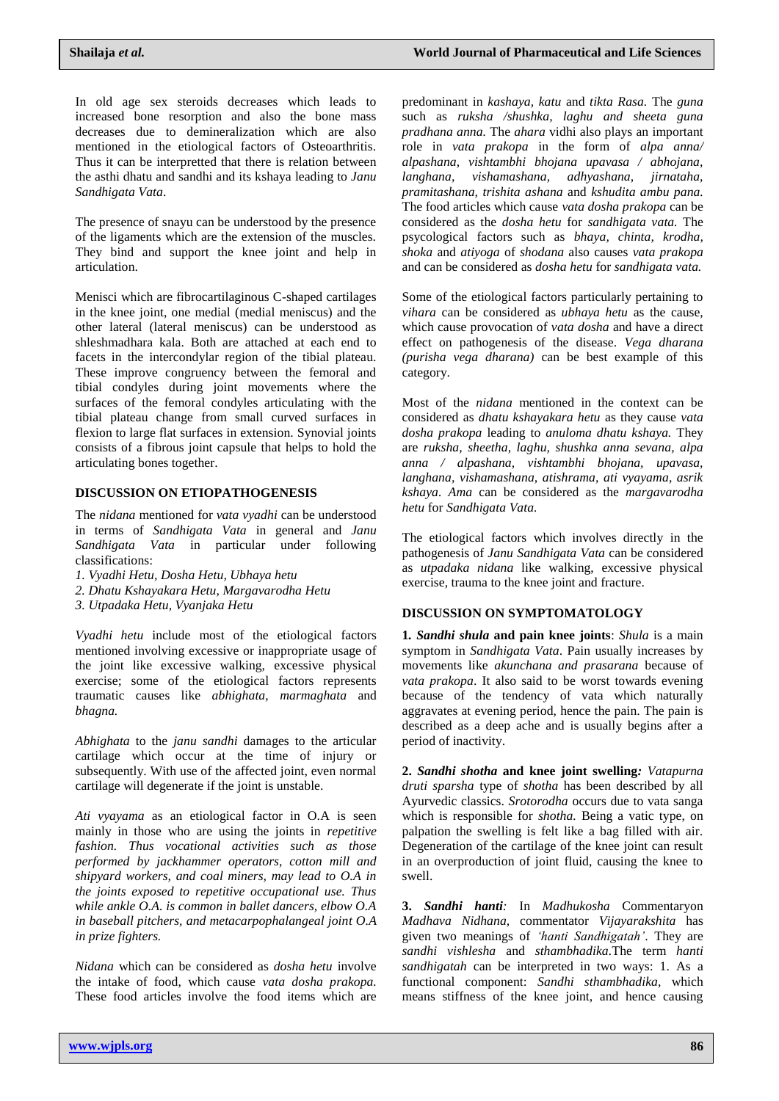In old age sex steroids decreases which leads to increased bone resorption and also the bone mass decreases due to demineralization which are also mentioned in the etiological factors of Osteoarthritis. Thus it can be interpretted that there is relation between the asthi dhatu and sandhi and its kshaya leading to *Janu Sandhigata Vata*.

The presence of snayu can be understood by the presence of the ligaments which are the extension of the muscles. They bind and support the knee joint and help in articulation.

Menisci which are fibrocartilaginous C-shaped cartilages in the knee joint, one medial (medial meniscus) and the other lateral (lateral meniscus) can be understood as shleshmadhara kala. Both are attached at each end to facets in the intercondylar region of the tibial plateau. These improve congruency between the femoral and tibial condyles during joint movements where the surfaces of the femoral condyles articulating with the tibial plateau change from small curved surfaces in flexion to large flat surfaces in extension. Synovial joints consists of a fibrous joint capsule that helps to hold the articulating bones together.

## **DISCUSSION ON ETIOPATHOGENESIS**

The *nidana* mentioned for *vata vyadhi* can be understood in terms of *Sandhigata Vata* in general and *Janu Sandhigata Vata* in particular under following classifications:

- *1. Vyadhi Hetu, Dosha Hetu, Ubhaya hetu*
- *2. Dhatu Kshayakara Hetu, Margavarodha Hetu*
- *3. Utpadaka Hetu, Vyanjaka Hetu*

*Vyadhi hetu* include most of the etiological factors mentioned involving excessive or inappropriate usage of the joint like excessive walking, excessive physical exercise; some of the etiological factors represents traumatic causes like *abhighata, marmaghata* and *bhagna.*

*Abhighata* to the *janu sandhi* damages to the articular cartilage which occur at the time of injury or subsequently. With use of the affected joint, even normal cartilage will degenerate if the joint is unstable.

*Ati vyayama* as an etiological factor in O.A is seen mainly in those who are using the joints in *repetitive fashion. Thus vocational activities such as those performed by jackhammer operators, cotton mill and shipyard workers, and coal miners, may lead to O.A in the joints exposed to repetitive occupational use. Thus while ankle O.A. is common in ballet dancers, elbow O.A in baseball pitchers, and metacarpophalangeal joint O.A in prize fighters.* 

*Nidana* which can be considered as *dosha hetu* involve the intake of food, which cause *vata dosha prakopa.*  These food articles involve the food items which are

predominant in *kashaya, katu* and *tikta Rasa.* The *guna*  such as *ruksha /shushka, laghu and sheeta guna pradhana anna.* The *ahara* vidhi also plays an important role in *vata prakopa* in the form of *alpa anna/ alpashana, vishtambhi bhojana upavasa / abhojana, langhana, vishamashana, adhyashana, jirnataha, pramitashana, trishita ashana* and *kshudita ambu pana.* The food articles which cause *vata dosha prakopa* can be considered as the *dosha hetu* for *sandhigata vata.* The psycological factors such as *bhaya, chinta, krodha, shoka* and *atiyoga* of *shodana* also causes *vata prakopa*  and can be considered as *dosha hetu* for *sandhigata vata.* 

Some of the etiological factors particularly pertaining to *vihara* can be considered as *ubhaya hetu* as the cause, which cause provocation of *vata dosha* and have a direct effect on pathogenesis of the disease. *Vega dharana (purisha vega dharana)* can be best example of this category.

Most of the *nidana* mentioned in the context can be considered as *dhatu kshayakara hetu* as they cause *vata dosha prakopa* leading to *anuloma dhatu kshaya.* They are *ruksha, sheetha, laghu, shushka anna sevana, alpa anna / alpashana, vishtambhi bhojana, upavasa, langhana, vishamashana, atishrama, ati vyayama, asrik kshaya. Ama* can be considered as the *margavarodha hetu* for *Sandhigata Vata.* 

The etiological factors which involves directly in the pathogenesis of *Janu Sandhigata Vata* can be considered as *utpadaka nidana* like walking, excessive physical exercise, trauma to the knee joint and fracture.

## **DISCUSSION ON SYMPTOMATOLOGY**

**1***. Sandhi shula* **and pain knee joints**: *Shula* is a main symptom in *Sandhigata Vata*. Pain usually increases by movements like *akunchana and prasarana* because of *vata prakopa*. It also said to be worst towards evening because of the tendency of vata which naturally aggravates at evening period, hence the pain. The pain is described as a deep ache and is usually begins after a period of inactivity.

**2.** *Sandhi shotha* **and knee joint swelling***: Vatapurna druti sparsha* type of *shotha* has been described by all Ayurvedic classics. *Srotorodha* occurs due to vata sanga which is responsible for *shotha.* Being a vatic type, on palpation the swelling is felt like a bag filled with air. Degeneration of the cartilage of the knee joint can result in an overproduction of joint fluid, causing the knee to swell.

**3.** *Sandhi hanti:* In *Madhukosha* Commentaryon *Madhava Nidhana,* commentator *Vijayarakshita* has given two meanings of *"hanti Sandhigatah"*. They are *sandhi vishlesha* and *sthambhadika.*The term *hanti sandhigatah* can be interpreted in two ways: 1. As a functional component: *Sandhi sthambhadika*, which means stiffness of the knee joint, and hence causing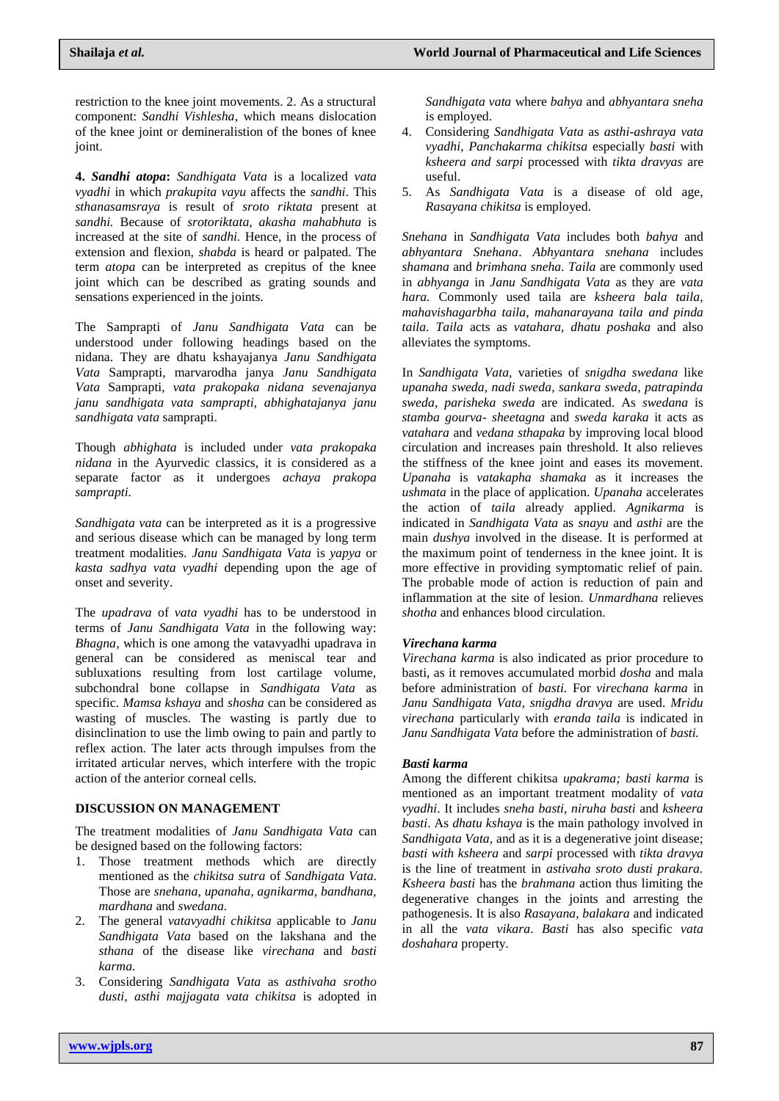restriction to the knee joint movements. 2. As a structural component: *Sandhi Vishlesha*, which means dislocation of the knee joint or demineralistion of the bones of knee joint.

**4.** *Sandhi atopa***:** *Sandhigata Vata* is a localized *vata vyadhi* in which *prakupita vayu* affects the *sandhi*. This *sthanasamsraya* is result of *sroto riktata* present at *sandhi.* Because of *srotoriktata, akasha mahabhuta* is increased at the site of *sandhi.* Hence, in the process of extension and flexion, *shabda* is heard or palpated. The term *atopa* can be interpreted as crepitus of the knee joint which can be described as grating sounds and sensations experienced in the joints.

The Samprapti of *Janu Sandhigata Vata* can be understood under following headings based on the nidana. They are dhatu kshayajanya *Janu Sandhigata Vata* Samprapti, marvarodha janya *Janu Sandhigata Vata* Samprapti, *vata prakopaka nidana sevenajanya janu sandhigata vata samprapti, abhighatajanya janu sandhigata vata* samprapti.

Though *abhighata* is included under *vata prakopaka nidana* in the Ayurvedic classics, it is considered as a separate factor as it undergoes *achaya prakopa samprapti.*

*Sandhigata vata* can be interpreted as it is a progressive and serious disease which can be managed by long term treatment modalities. *Janu Sandhigata Vata* is *yapya* or *kasta sadhya vata vyadhi* depending upon the age of onset and severity.

The *upadrava* of *vata vyadhi* has to be understood in terms of *Janu Sandhigata Vata* in the following way: *Bhagna,* which is one among the vatavyadhi upadrava in general can be considered as meniscal tear and subluxations resulting from lost cartilage volume, subchondral bone collapse in *Sandhigata Vata* as specific. *Mamsa kshaya* and *shosha* can be considered as wasting of muscles. The wasting is partly due to disinclination to use the limb owing to pain and partly to reflex action. The later acts through impulses from the irritated articular nerves, which interfere with the tropic action of the anterior corneal cells.

## **DISCUSSION ON MANAGEMENT**

The treatment modalities of *Janu Sandhigata Vata* can be designed based on the following factors:

- 1. Those treatment methods which are directly mentioned as the *chikitsa sutra* of *Sandhigata Vata*. Those are *snehana, upanaha, agnikarma, bandhana, mardhana* and *swedana.*
- 2. The general *vatavyadhi chikitsa* applicable to *Janu Sandhigata Vata* based on the lakshana and the *sthana* of the disease like *virechana* and *basti karma.*
- 3. Considering *Sandhigata Vata* as *asthivaha srotho dusti, asthi majjagata vata chikitsa* is adopted in

*Sandhigata vata* where *bahya* and *abhyantara sneha* is employed.

- 4. Considering *Sandhigata Vata* as *asthi-ashraya vata vyadhi, Panchakarma chikitsa* especially *basti* with *ksheera and sarpi* processed with *tikta dravyas* are useful.
- 5. As *Sandhigata Vata* is a disease of old age, *Rasayana chikitsa* is employed.

*Snehana* in *Sandhigata Vata* includes both *bahya* and *abhyantara Snehana*. *Abhyantara snehana* includes *shamana* and *brimhana sneha*. *Taila* are commonly used in *abhyanga* in *Janu Sandhigata Vata* as they are *vata hara.* Commonly used taila are *ksheera bala taila, mahavishagarbha taila, mahanarayana taila and pinda taila. Taila* acts as *vatahara, dhatu poshaka* and also alleviates the symptoms.

In *Sandhigata Vata,* varieties of *snigdha swedana* like *upanaha sweda, nadi sweda, sankara sweda, patrapinda sweda, parisheka sweda* are indicated. As *swedana* is *stamba gourva- sheetagna* and *sweda karaka* it acts as *vatahara* and *vedana sthapaka* by improving local blood circulation and increases pain threshold. It also relieves the stiffness of the knee joint and eases its movement. *Upanaha* is *vatakapha shamaka* as it increases the *ushmata* in the place of application. *Upanaha* accelerates the action of *taila* already applied. *Agnikarma* is indicated in *Sandhigata Vata* as *snayu* and *asthi* are the main *dushya* involved in the disease. It is performed at the maximum point of tenderness in the knee joint. It is more effective in providing symptomatic relief of pain. The probable mode of action is reduction of pain and inflammation at the site of lesion. *Unmardhana* relieves *shotha* and enhances blood circulation.

## *Virechana karma*

*Virechana karma* is also indicated as prior procedure to basti, as it removes accumulated morbid *dosha* and mala before administration of *basti.* For *virechana karma* in *Janu Sandhigata Vata*, *snigdha dravya* are used. *Mridu virechana* particularly with *eranda taila* is indicated in *Janu Sandhigata Vata* before the administration of *basti.*

## *Basti karma*

Among the different chikitsa *upakrama; basti karma* is mentioned as an important treatment modality of *vata vyadhi*. It includes *sneha basti, niruha basti* and *ksheera basti*. As *dhatu kshaya* is the main pathology involved in *Sandhigata Vata,* and as it is a degenerative joint disease; *basti with ksheera* and *sarpi* processed with *tikta dravya* is the line of treatment in *astivaha sroto dusti prakara. Ksheera basti* has the *brahmana* action thus limiting the degenerative changes in the joints and arresting the pathogenesis. It is also *Rasayana, balakara* and indicated in all the *vata vikara*. *Basti* has also specific *vata doshahara* property.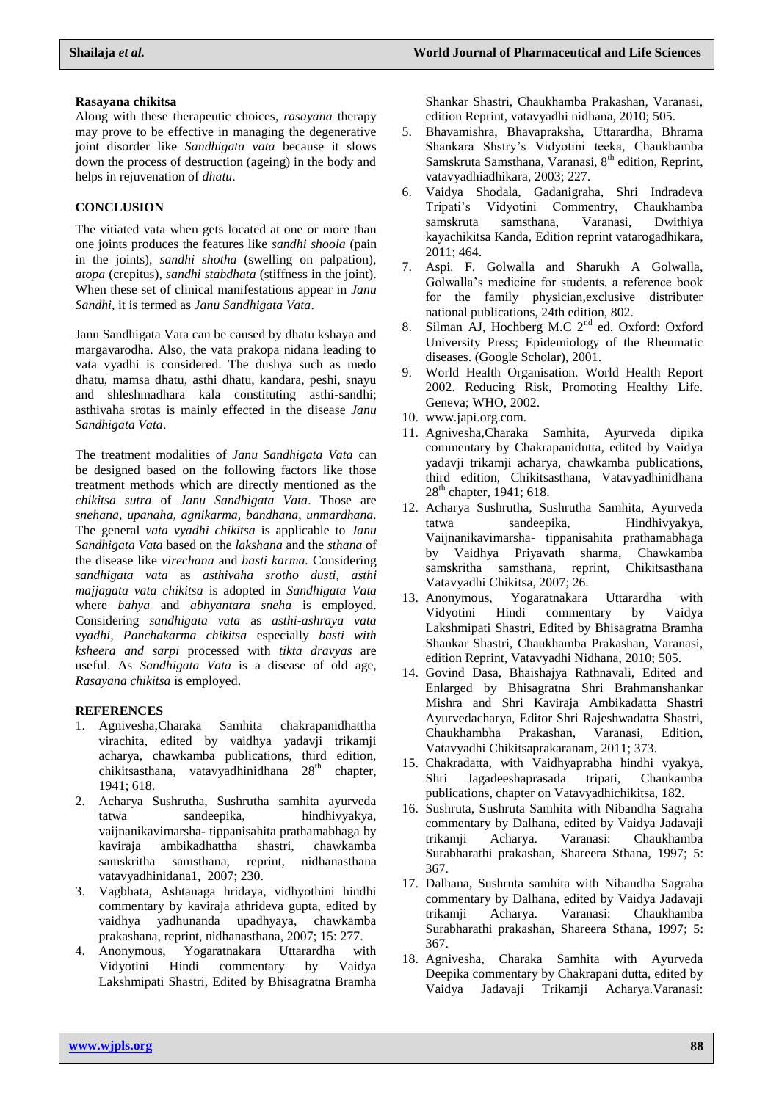#### **Rasayana chikitsa**

Along with these therapeutic choices*, rasayana* therapy may prove to be effective in managing the degenerative joint disorder like *Sandhigata vata* because it slows down the process of destruction (ageing) in the body and helps in rejuvenation of *dhatu*.

## **CONCLUSION**

The vitiated vata when gets located at one or more than one joints produces the features like *sandhi shoola* (pain in the joints), *sandhi shotha* (swelling on palpation), *atopa* (crepitus), *sandhi stabdhata* (stiffness in the joint). When these set of clinical manifestations appear in *Janu Sandhi,* it is termed as *Janu Sandhigata Vata*.

Janu Sandhigata Vata can be caused by dhatu kshaya and margavarodha. Also, the vata prakopa nidana leading to vata vyadhi is considered. The dushya such as medo dhatu, mamsa dhatu, asthi dhatu, kandara, peshi, snayu and shleshmadhara kala constituting asthi-sandhi; asthivaha srotas is mainly effected in the disease *Janu Sandhigata Vata*.

The treatment modalities of *Janu Sandhigata Vata* can be designed based on the following factors like those treatment methods which are directly mentioned as the *chikitsa sutra* of *Janu Sandhigata Vata*. Those are *snehana, upanaha, agnikarma, bandhana, unmardhana.* The general *vata vyadhi chikitsa* is applicable to *Janu Sandhigata Vata* based on the *lakshana* and the *sthana* of the disease like *virechana* and *basti karma.* Considering *sandhigata vata* as *asthivaha srotho dusti, asthi majjagata vata chikitsa* is adopted in *Sandhigata Vata* where *bahya* and *abhyantara sneha* is employed. Considering *sandhigata vata* as *asthi-ashraya vata vyadhi, Panchakarma chikitsa* especially *basti with ksheera and sarpi* processed with *tikta dravyas* are useful. As *Sandhigata Vata* is a disease of old age, *Rasayana chikitsa* is employed.

## **REFERENCES**

- 1. Agnivesha,Charaka Samhita chakrapanidhattha virachita, edited by vaidhya yadavji trikamji acharya, chawkamba publications, third edition, chikitsasthana, vatavyadhinidhana  $28<sup>th</sup>$  chapter, 1941; 618.
- 2. Acharya Sushrutha, Sushrutha samhita ayurveda tatwa sandeepika, hindhivyakya, vaijnanikavimarsha- tippanisahita prathamabhaga by kaviraja ambikadhattha shastri, chawkamba samskritha samsthana, reprint, nidhanasthana vatavyadhinidana1, 2007; 230.
- 3. Vagbhata, Ashtanaga hridaya, vidhyothini hindhi commentary by kaviraja athrideva gupta, edited by vaidhya yadhunanda upadhyaya, chawkamba prakashana, reprint, nidhanasthana, 2007; 15: 277.
- 4. Anonymous, Yogaratnakara Uttarardha with Vidyotini Hindi commentary by Vaidya Lakshmipati Shastri, Edited by Bhisagratna Bramha

Shankar Shastri, Chaukhamba Prakashan, Varanasi, edition Reprint, vatavyadhi nidhana, 2010; 505.

- 5. Bhavamishra, Bhavapraksha, Uttarardha, Bhrama Shankara Shstry's Vidyotini teeka, Chaukhamba Samskruta Samsthana, Varanasi, 8<sup>th</sup> edition, Reprint, vatavyadhiadhikara, 2003; 227.
- 6. Vaidya Shodala, Gadanigraha, Shri Indradeva Tripati's Vidyotini Commentry, Chaukhamba samskruta samsthana, Varanasi, Dwithiya kayachikitsa Kanda, Edition reprint vatarogadhikara, 2011; 464.
- 7. Aspi. F. Golwalla and Sharukh A Golwalla, Golwalla's medicine for students, a reference book for the family physician,exclusive distributer national publications, 24th edition, 802.
- 8. Silman AJ, Hochberg M.C 2<sup>nd</sup> ed. Oxford: Oxford University Press; Epidemiology of the Rheumatic diseases. (Google Scholar), 2001.
- 9. World Health Organisation. World Health Report 2002. Reducing Risk, Promoting Healthy Life. Geneva; WHO, 2002.
- 10. www.japi.org.com.
- 11. Agnivesha,Charaka Samhita, Ayurveda dipika commentary by Chakrapanidutta, edited by Vaidya yadavji trikamji acharya, chawkamba publications, third edition, Chikitsasthana, Vatavyadhinidhana  $28^{th}$  chapter, 1941; 618.
- 12. Acharya Sushrutha, Sushrutha Samhita, Ayurveda tatwa sandeepika, Hindhivyakya, Vaijnanikavimarsha- tippanisahita prathamabhaga by Vaidhya Priyavath sharma, Chawkamba samskritha samsthana, reprint, Chikitsasthana Vatavyadhi Chikitsa, 2007; 26.
- 13. Anonymous, Yogaratnakara Uttarardha with Vidyotini Hindi commentary by Vaidya Lakshmipati Shastri, Edited by Bhisagratna Bramha Shankar Shastri, Chaukhamba Prakashan, Varanasi, edition Reprint, Vatavyadhi Nidhana, 2010; 505.
- 14. Govind Dasa, Bhaishajya Rathnavali, Edited and Enlarged by Bhisagratna Shri Brahmanshankar Mishra and Shri Kaviraja Ambikadatta Shastri Ayurvedacharya, Editor Shri Rajeshwadatta Shastri, Chaukhambha Prakashan, Varanasi, Edition, Vatavyadhi Chikitsaprakaranam, 2011; 373.
- 15. Chakradatta, with Vaidhyaprabha hindhi vyakya, Shri Jagadeeshaprasada tripati, Chaukamba publications, chapter on Vatavyadhichikitsa, 182.
- 16. Sushruta, Sushruta Samhita with Nibandha Sagraha commentary by Dalhana, edited by Vaidya Jadavaji trikamji Acharya. Varanasi: Chaukhamba Surabharathi prakashan, Shareera Sthana, 1997; 5: 367.
- 17. Dalhana, Sushruta samhita with Nibandha Sagraha commentary by Dalhana, edited by Vaidya Jadavaji trikamji Acharya. Varanasi: Chaukhamba Surabharathi prakashan, Shareera Sthana, 1997; 5: 367.
- 18. Agnivesha, Charaka Samhita with Ayurveda Deepika commentary by Chakrapani dutta, edited by Vaidya Jadavaji Trikamji Acharya.Varanasi: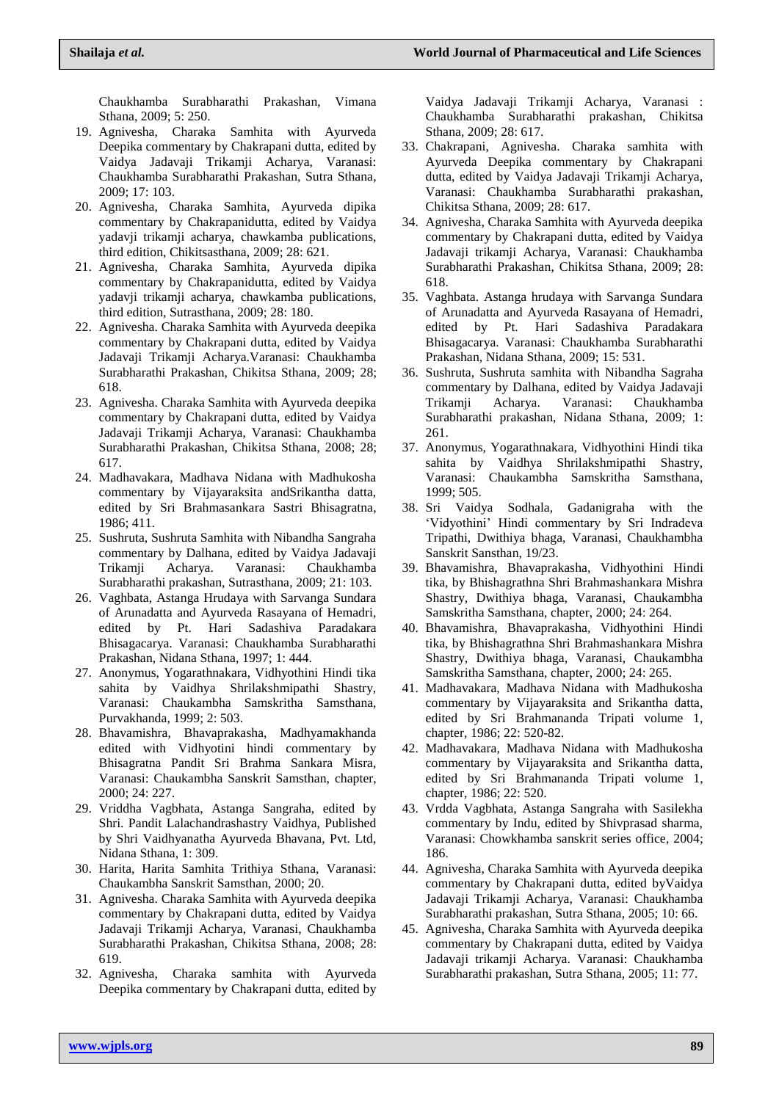Chaukhamba Surabharathi Prakashan, Vimana Sthana, 2009; 5: 250.

- 19. Agnivesha, Charaka Samhita with Ayurveda Deepika commentary by Chakrapani dutta, edited by Vaidya Jadavaji Trikamji Acharya, Varanasi: Chaukhamba Surabharathi Prakashan, Sutra Sthana, 2009; 17: 103.
- 20. Agnivesha, Charaka Samhita, Ayurveda dipika commentary by Chakrapanidutta, edited by Vaidya yadavji trikamji acharya, chawkamba publications, third edition, Chikitsasthana, 2009; 28: 621.
- 21. Agnivesha, Charaka Samhita, Ayurveda dipika commentary by Chakrapanidutta, edited by Vaidya yadavji trikamji acharya, chawkamba publications, third edition, Sutrasthana, 2009; 28: 180.
- 22. Agnivesha. Charaka Samhita with Ayurveda deepika commentary by Chakrapani dutta, edited by Vaidya Jadavaji Trikamji Acharya.Varanasi: Chaukhamba Surabharathi Prakashan, Chikitsa Sthana, 2009; 28; 618.
- 23. Agnivesha. Charaka Samhita with Ayurveda deepika commentary by Chakrapani dutta, edited by Vaidya Jadavaji Trikamji Acharya, Varanasi: Chaukhamba Surabharathi Prakashan, Chikitsa Sthana, 2008; 28; 617.
- 24. Madhavakara, Madhava Nidana with Madhukosha commentary by Vijayaraksita andSrikantha datta, edited by Sri Brahmasankara Sastri Bhisagratna, 1986; 411.
- 25. Sushruta, Sushruta Samhita with Nibandha Sangraha commentary by Dalhana, edited by Vaidya Jadavaji Trikamji Acharya. Varanasi: Chaukhamba Surabharathi prakashan, Sutrasthana, 2009; 21: 103.
- 26. Vaghbata, Astanga Hrudaya with Sarvanga Sundara of Arunadatta and Ayurveda Rasayana of Hemadri, edited by Pt. Hari Sadashiva Paradakara Bhisagacarya. Varanasi: Chaukhamba Surabharathi Prakashan, Nidana Sthana, 1997; 1: 444.
- 27. Anonymus, Yogarathnakara, Vidhyothini Hindi tika sahita by Vaidhya Shrilakshmipathi Shastry, Varanasi: Chaukambha Samskritha Samsthana, Purvakhanda, 1999; 2: 503.
- 28. Bhavamishra, Bhavaprakasha, Madhyamakhanda edited with Vidhyotini hindi commentary by Bhisagratna Pandit Sri Brahma Sankara Misra, Varanasi: Chaukambha Sanskrit Samsthan, chapter, 2000; 24: 227.
- 29. Vriddha Vagbhata, Astanga Sangraha, edited by Shri. Pandit Lalachandrashastry Vaidhya, Published by Shri Vaidhyanatha Ayurveda Bhavana, Pvt. Ltd, Nidana Sthana, 1: 309.
- 30. Harita, Harita Samhita Trithiya Sthana, Varanasi: Chaukambha Sanskrit Samsthan, 2000; 20.
- 31. Agnivesha. Charaka Samhita with Ayurveda deepika commentary by Chakrapani dutta, edited by Vaidya Jadavaji Trikamji Acharya, Varanasi, Chaukhamba Surabharathi Prakashan, Chikitsa Sthana, 2008; 28: 619.
- 32. Agnivesha, Charaka samhita with Ayurveda Deepika commentary by Chakrapani dutta, edited by

Vaidya Jadavaji Trikamji Acharya, Varanasi : Chaukhamba Surabharathi prakashan, Chikitsa Sthana, 2009; 28: 617.

- 33. Chakrapani, Agnivesha. Charaka samhita with Ayurveda Deepika commentary by Chakrapani dutta, edited by Vaidya Jadavaji Trikamji Acharya, Varanasi: Chaukhamba Surabharathi prakashan, Chikitsa Sthana, 2009; 28: 617.
- 34. Agnivesha, Charaka Samhita with Ayurveda deepika commentary by Chakrapani dutta, edited by Vaidya Jadavaji trikamji Acharya, Varanasi: Chaukhamba Surabharathi Prakashan, Chikitsa Sthana, 2009; 28: 618.
- 35. Vaghbata. Astanga hrudaya with Sarvanga Sundara of Arunadatta and Ayurveda Rasayana of Hemadri, edited by Pt. Hari Sadashiva Paradakara Bhisagacarya. Varanasi: Chaukhamba Surabharathi Prakashan, Nidana Sthana, 2009; 15: 531.
- 36. Sushruta, Sushruta samhita with Nibandha Sagraha commentary by Dalhana, edited by Vaidya Jadavaji Trikamji Acharya. Varanasi: Chaukhamba Surabharathi prakashan, Nidana Sthana, 2009; 1: 261.
- 37. Anonymus, Yogarathnakara, Vidhyothini Hindi tika sahita by Vaidhya Shrilakshmipathi Shastry, Varanasi: Chaukambha Samskritha Samsthana, 1999; 505.
- 38. Sri Vaidya Sodhala, Gadanigraha with the 'Vidyothini' Hindi commentary by Sri Indradeva Tripathi, Dwithiya bhaga, Varanasi, Chaukhambha Sanskrit Sansthan, 19/23.
- 39. Bhavamishra, Bhavaprakasha, Vidhyothini Hindi tika, by Bhishagrathna Shri Brahmashankara Mishra Shastry, Dwithiya bhaga, Varanasi, Chaukambha Samskritha Samsthana, chapter, 2000; 24: 264.
- 40. Bhavamishra, Bhavaprakasha, Vidhyothini Hindi tika, by Bhishagrathna Shri Brahmashankara Mishra Shastry, Dwithiya bhaga, Varanasi, Chaukambha Samskritha Samsthana, chapter, 2000; 24: 265.
- 41. Madhavakara, Madhava Nidana with Madhukosha commentary by Vijayaraksita and Srikantha datta, edited by Sri Brahmananda Tripati volume 1, chapter, 1986; 22: 520-82.
- 42. Madhavakara, Madhava Nidana with Madhukosha commentary by Vijayaraksita and Srikantha datta, edited by Sri Brahmananda Tripati volume 1, chapter, 1986; 22: 520.
- 43. Vrdda Vagbhata, Astanga Sangraha with Sasilekha commentary by Indu, edited by Shivprasad sharma, Varanasi: Chowkhamba sanskrit series office, 2004; 186.
- 44. Agnivesha, Charaka Samhita with Ayurveda deepika commentary by Chakrapani dutta, edited byVaidya Jadavaji Trikamji Acharya, Varanasi: Chaukhamba Surabharathi prakashan, Sutra Sthana, 2005; 10: 66.
- 45. Agnivesha, Charaka Samhita with Ayurveda deepika commentary by Chakrapani dutta, edited by Vaidya Jadavaji trikamji Acharya. Varanasi: Chaukhamba Surabharathi prakashan, Sutra Sthana, 2005; 11: 77.